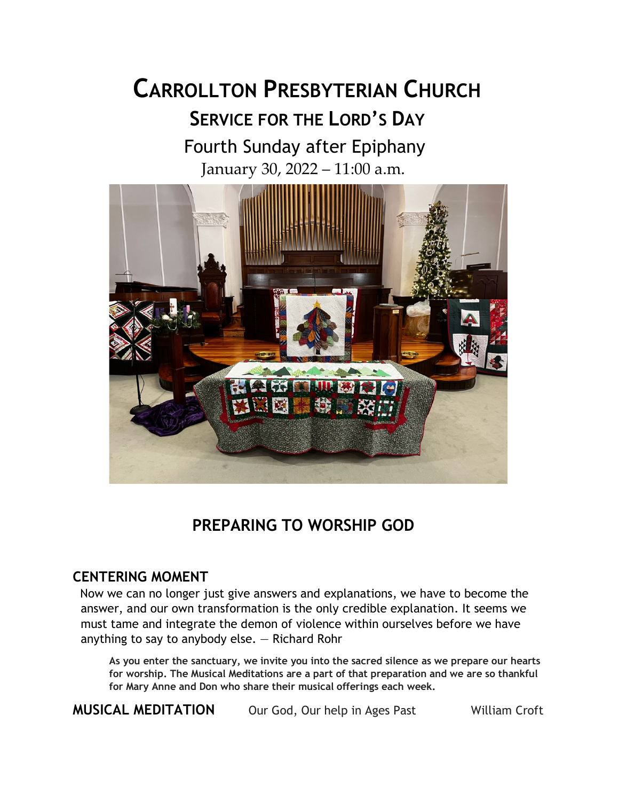# **CARROLLTON PRESBYTERIAN CHURCH SERVICE FOR THE LORD'S DAY** Fourth Sunday after Epiphany

January 30, 2022 – 11:00 a.m.



## **PREPARING TO WORSHIP GOD**

## **CENTERING MOMENT**

Now we can no longer just give answers and explanations, we have to become the answer, and our own transformation is the only credible explanation. It seems we must tame and integrate the demon of violence within ourselves before we have anything to say to anybody else. — Richard Rohr

**As you enter the sanctuary, we invite you into the sacred silence as we prepare our hearts for worship. The Musical Meditations are a part of that preparation and we are so thankful for Mary Anne and Don who share their musical offerings each week.**

**MUSICAL MEDITATION** Our God, Our help in Ages Past William Croft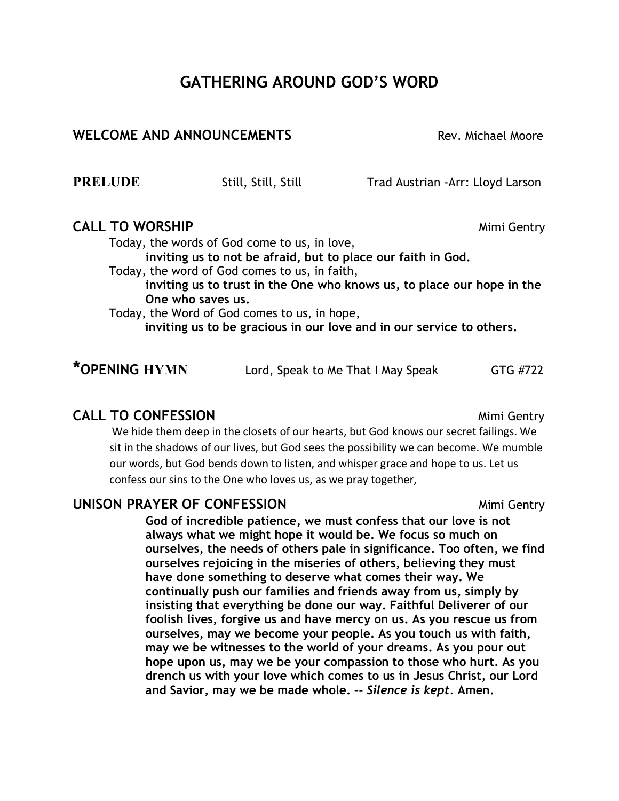## **GATHERING AROUND GOD'S WORD**

## **WELCOME AND ANNOUNCEMENTS** Not rev. Michael Moore

**PRELUDE** Still, Still, Still Trad Austrian -Arr: Lloyd Larson

## **CALL TO WORSHIP Mimi Gentry** *Mimi Gentry*

Today, the words of God come to us, in love,

**inviting us to not be afraid, but to place our faith in God.**

Today, the word of God comes to us, in faith,

**inviting us to trust in the One who knows us, to place our hope in the One who saves us.**

Today, the Word of God comes to us, in hope,

**inviting us to be gracious in our love and in our service to others.**

| *OPENING HYMN | Lord, Speak to Me That I May Speak | GTG #722 |
|---------------|------------------------------------|----------|
|---------------|------------------------------------|----------|

## **CALL TO CONFESSION CALL TO CONFESSION**

We hide them deep in the closets of our hearts, but God knows our secret failings. We sit in the shadows of our lives, but God sees the possibility we can become. We mumble our words, but God bends down to listen, and whisper grace and hope to us. Let us confess our sins to the One who loves us, as we pray together,

## **UNISON PRAYER OF CONFESSION Mimi Gentry**

**God of incredible patience, we must confess that our love is not always what we might hope it would be. We focus so much on ourselves, the needs of others pale in significance. Too often, we find ourselves rejoicing in the miseries of others, believing they must have done something to deserve what comes their way. We continually push our families and friends away from us, simply by insisting that everything be done our way. Faithful Deliverer of our foolish lives, forgive us and have mercy on us. As you rescue us from ourselves, may we become your people. As you touch us with faith, may we be witnesses to the world of your dreams. As you pour out hope upon us, may we be your compassion to those who hurt. As you drench us with your love which comes to us in Jesus Christ, our Lord and Savior, may we be made whole. –-** *Silence is kept.* **Amen.**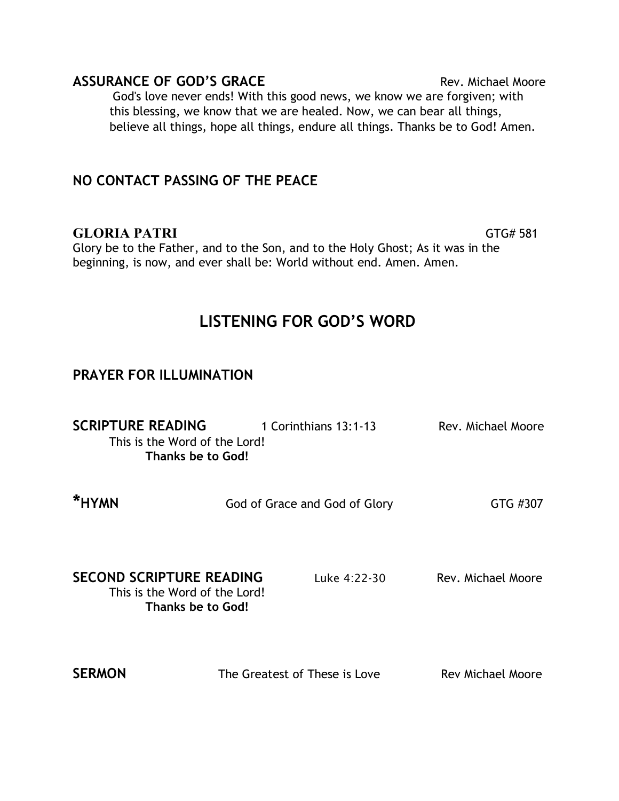| <b>ASSURANCE OF GOD'S GRACE</b>                                                 | Rev. Michael Moore |
|---------------------------------------------------------------------------------|--------------------|
| God's love never ends! With this good news, we know we are forgiven; with       |                    |
| this blessing, we know that we are healed. Now, we can bear all things,         |                    |
| believe all things, hope all things, endure all things. Thanks be to God! Amen. |                    |

## **NO CONTACT PASSING OF THE PEACE**

## GLORIA PATRI **GTG#** 581

Glory be to the Father, and to the Son, and to the Holy Ghost; As it was in the beginning, is now, and ever shall be: World without end. Amen. Amen.

## **LISTENING FOR GOD'S WORD**

## **PRAYER FOR ILLUMINATION**

| <b>SCRIPTURE READING</b><br>This is the Word of the Lord!<br>Thanks be to God!        | 1 Corinthians 13:1-13         | Rev. Michael Moore       |
|---------------------------------------------------------------------------------------|-------------------------------|--------------------------|
| *HYMN                                                                                 | God of Grace and God of Glory | GTG #307                 |
| <b>SECOND SCRIPTURE READING</b><br>This is the Word of the Lord!<br>Thanks be to God! | Luke 4:22-30                  | Rev. Michael Moore       |
| <b>SERMON</b>                                                                         | The Greatest of These is Love | <b>Rev Michael Moore</b> |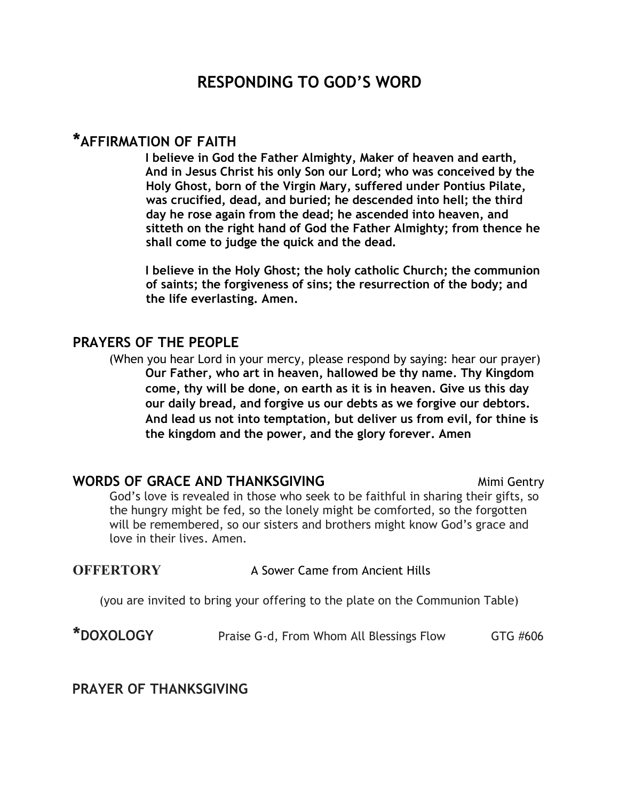## **RESPONDING TO GOD'S WORD**

## **\*AFFIRMATION OF FAITH**

**I believe in God the Father Almighty, Maker of heaven and earth, And in Jesus Christ his only Son our Lord; who was conceived by the Holy Ghost, born of the Virgin Mary, suffered under Pontius Pilate, was crucified, dead, and buried; he descended into hell; the third day he rose again from the dead; he ascended into heaven, and sitteth on the right hand of God the Father Almighty; from thence he shall come to judge the quick and the dead.** 

**I believe in the Holy Ghost; the holy catholic Church; the communion of saints; the forgiveness of sins; the resurrection of the body; and the life everlasting. Amen.** 

### **PRAYERS OF THE PEOPLE**

(When you hear Lord in your mercy, please respond by saying: hear our prayer) **Our Father, who art in heaven, hallowed be thy name. Thy Kingdom come, thy will be done, on earth as it is in heaven. Give us this day our daily bread, and forgive us our debts as we forgive our debtors. And lead us not into temptation, but deliver us from evil, for thine is the kingdom and the power, and the glory forever. Amen** 

#### **WORDS OF GRACE AND THANKSGIVING Mimi Gentry** *Mimi* Gentry

God's love is revealed in those who seek to be faithful in sharing their gifts, so the hungry might be fed, so the lonely might be comforted, so the forgotten will be remembered, so our sisters and brothers might know God's grace and love in their lives. Amen.

#### **OFFERTORY** A Sower Came from Ancient Hills

(you are invited to bring your offering to the plate on the Communion Table)

**\*DOXOLOGY** Praise G-d, From Whom All Blessings Flow GTG #606

**PRAYER OF THANKSGIVING**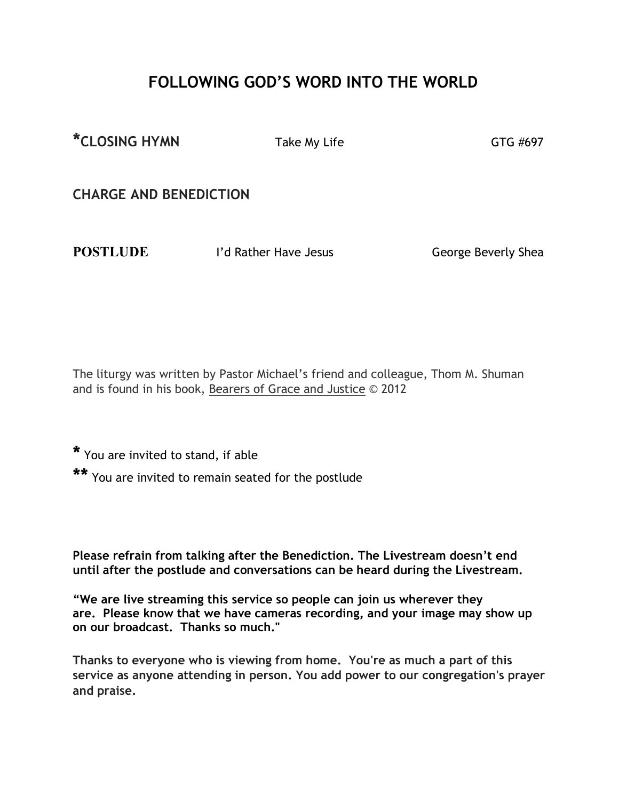## **FOLLOWING GOD'S WORD INTO THE WORLD**

\*CLOSING HYMN Take My Life GTG #697

**CHARGE AND BENEDICTION**

**POSTLUDE I'd Rather Have Jesus** George Beverly Shea

The liturgy was written by Pastor Michael's friend and colleague, Thom M. Shuman and is found in his book, Bearers of Grace and Justice © 2012

**\*** You are invited to stand, if able

**\*\*** You are invited to remain seated for the postlude

**Please refrain from talking after the Benediction. The Livestream doesn't end until after the postlude and conversations can be heard during the Livestream.**

**"We are live streaming this service so people can join us wherever they are. Please know that we have cameras recording, and your image may show up on our broadcast. Thanks so much."**

**Thanks to everyone who is viewing from home. You're as much a part of this service as anyone attending in person. You add power to our congregation's prayer and praise.**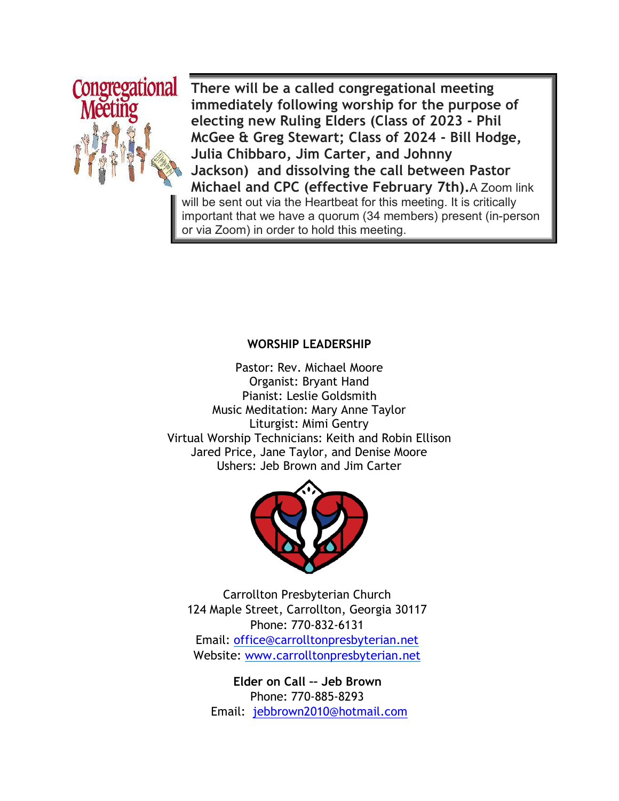

**There will be a called congregational meeting immediately following worship for the purpose of electing new Ruling Elders (Class of 2023 - Phil McGee & Greg Stewart; Class of 2024 - Bill Hodge, Julia Chibbaro, Jim Carter, and Johnny Jackson) and dissolving the call between Pastor Michael and CPC (effective February 7th).**A Zoom link will be sent out via the Heartbeat for this meeting. It is critically important that we have a quorum (34 members) present (in-person or via Zoom) in order to hold this meeting.

#### **WORSHIP LEADERSHIP**

Pastor: Rev. Michael Moore Organist: Bryant Hand Pianist: Leslie Goldsmith Music Meditation: Mary Anne Taylor Liturgist: Mimi Gentry Virtual Worship Technicians: Keith and Robin Ellison Jared Price, Jane Taylor, and Denise Moore Ushers: Jeb Brown and Jim Carter



Carrollton Presbyterian Church 124 Maple Street, Carrollton, Georgia 30117 Phone: 770-832-6131 Email: office@carrolltonpresbyterian.net Website: www.carrolltonpresbyterian.net

**Elder on Call –– Jeb Brown** Phone: 770-885-8293 Email: jebbrown2010@hotmail.com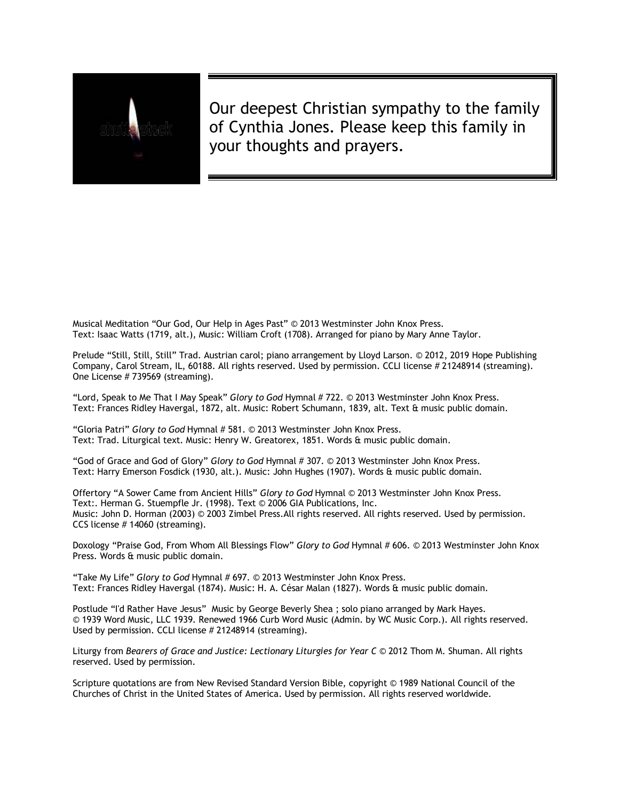

Our deepest Christian sympathy to the family of Cynthia Jones. Please keep this family in your thoughts and prayers.

Musical Meditation "Our God, Our Help in Ages Past" © 2013 Westminster John Knox Press. Text: Isaac Watts (1719, alt.), Music: William Croft (1708). Arranged for piano by Mary Anne Taylor.

Prelude "Still, Still, Still" Trad. Austrian carol; piano arrangement by Lloyd Larson. © 2012, 2019 Hope Publishing Company, Carol Stream, IL, 60188. All rights reserved. Used by permission. CCLI license # 21248914 (streaming). One License # 739569 (streaming).

"Lord, Speak to Me That I May Speak" *Glory to God* Hymnal # 722. © 2013 Westminster John Knox Press. Text: Frances Ridley Havergal, 1872, alt. Music: Robert Schumann, 1839, alt. Text & music public domain.

"Gloria Patri" *Glory to God* Hymnal # 581. © 2013 Westminster John Knox Press. Text: Trad. Liturgical text. Music: Henry W. Greatorex, 1851. Words & music public domain.

"God of Grace and God of Glory" *Glory to God* Hymnal # 307. © 2013 Westminster John Knox Press. Text: Harry Emerson Fosdick (1930, alt.). Music: John Hughes (1907). Words & music public domain.

Offertory "A Sower Came from Ancient Hills" *Glory to God* Hymnal © 2013 Westminster John Knox Press. Text:. Herman G. Stuempfle Jr. (1998). Text © 2006 GIA Publications, Inc. Music: John D. Horman (2003) © 2003 Zimbel Press.All rights reserved. All rights reserved. Used by permission. CCS license # 14060 (streaming).

Doxology "Praise God, From Whom All Blessings Flow" *Glory to God* Hymnal # 606. © 2013 Westminster John Knox Press. Words & music public domain.

"Take My Life" *Glory to God* Hymnal # 697. © 2013 Westminster John Knox Press. Text: Frances Ridley Havergal (1874). Music: H. A. César Malan (1827). Words & music public domain.

Postlude "I'd Rather Have Jesus" Music by George Beverly Shea ; solo piano arranged by Mark Hayes. © 1939 Word Music, LLC 1939. Renewed 1966 Curb Word Music (Admin. by WC Music Corp.). All rights reserved. Used by permission. CCLI license # 21248914 (streaming).

Liturgy from *Bearers of Grace and Justice: Lectionary Liturgies for Year C* © 2012 Thom M. Shuman. All rights reserved. Used by permission.

Scripture quotations are from New Revised Standard Version Bible, copyright © 1989 National Council of the Churches of Christ in the United States of America. Used by permission. All rights reserved worldwide.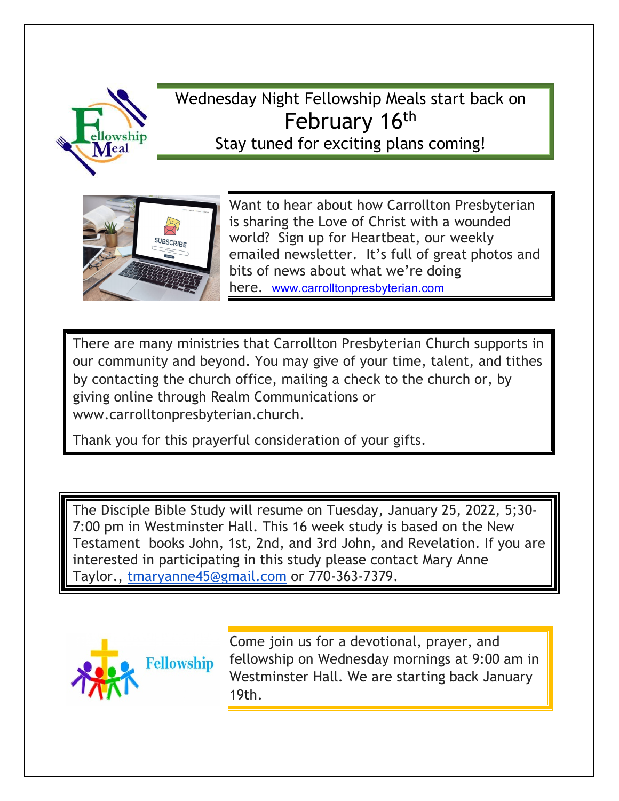

Wednesday Night Fellowship Meals start back on February 16<sup>th</sup> Stay tuned for exciting plans coming!



Want to hear about how Carrollton Presbyterian is sharing the Love of Christ with a wounded world? Sign up for Heartbeat, our weekly emailed newsletter. It's full of great photos and bits of news about what we're doing here. www.carrolltonpresbyterian.com

There are many ministries that Carrollton Presbyterian Church supports in our community and beyond. You may give of your time, talent, and tithes by contacting the church office, mailing a check to the church or, by giving online through Realm Communications or www.carrolltonpresbyterian.church.

Thank you for this prayerful consideration of your gifts.

The Disciple Bible Study will resume on Tuesday, January 25, 2022, 5;30- 7:00 pm in Westminster Hall. This 16 week study is based on the New Testament books John, 1st, 2nd, and 3rd John, and Revelation. If you are interested in participating in this study please contact Mary Anne Taylor., tmaryanne45@gmail.com or 770-363-7379.



Come join us for a devotional, prayer, and fellowship on Wednesday mornings at 9:00 am in Westminster Hall. We are starting back January 19th.